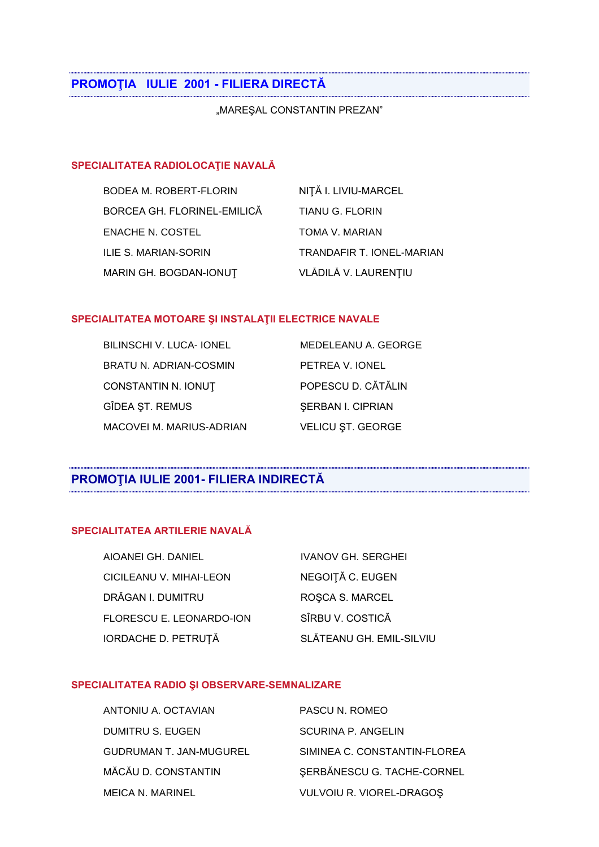### **PROMOŢIA IULIE 2001 - FILIERA DIRECTĂ**

"MAREŞAL CONSTANTIN PREZAN"

#### **SPECIALITATEA RADIOLOCAŢIE NAVALĂ**

| BODEA M. ROBERT-FLORIN      | NIȚĂ I. LIVIU-MARCEL      |
|-----------------------------|---------------------------|
| BORCEA GH. FLORINEL-EMILICĂ | <b>TIANU G. FLORIN</b>    |
| ENACHE N. COSTEL            | TOMA V. MARIAN            |
| ILIE S. MARIAN-SORIN        | TRANDAFIR T. IONEL-MARIAN |
| MARIN GH. BOGDAN-IONUT      | VLĂDILĂ V. LAURENȚIU      |

#### **SPECIALITATEA MOTOARE ŞI INSTALAŢII ELECTRICE NAVALE**

| BILINSCHI V. LUCA- IONEL | MEDELEANU A. GEORGE      |
|--------------------------|--------------------------|
| BRATU N. ADRIAN-COSMIN   | PETREA V. IONEL          |
| CONSTANTIN N. IONUT      | POPESCU D. CĂTĂLIN       |
| GÎDEA ȘT. REMUS          | <b>ŞERBAN I. CIPRIAN</b> |
| MACOVEI M. MARIUS-ADRIAN | <b>VELICU ȘT. GEORGE</b> |

.....................

# **PROMOŢIA IULIE 2001- FILIERA INDIRECTĂ**

#### **SPECIALITATEA ARTILERIE NAVALĂ**

| AIOANEI GH. DANIEL       | <b>IVANOV GH. SERGHEI</b> |
|--------------------------|---------------------------|
| CICILEANU V. MIHAI-LEON  | NEGOITĂ C. EUGEN          |
| DRĂGAN I. DUMITRU        | ROȘCA S. MARCEL           |
| FLORESCU E. LEONARDO-ION | SÎRBU V. COSTICĂ          |
| IORDACHE D. PETRUȚĂ      | SLĂTEANU GH. EMIL-SILVIU  |
|                          |                           |

#### **SPECIALITATEA RADIO ŞI OBSERVARE-SEMNALIZARE**

| ANTONIU A. OCTAVIAN            | PASCU N. ROMEO               |
|--------------------------------|------------------------------|
| DUMITRU S. EUGEN               | SCURINA P. ANGELIN           |
| <b>GUDRUMAN T. JAN-MUGUREL</b> | SIMINEA C. CONSTANTIN-FLOREA |
| MĂCĂU D. CONSTANTIN            | SERBĂNESCU G. TACHE-CORNEL   |
| MEICA N. MARINEL               | VULVOIU R. VIOREL-DRAGOS     |